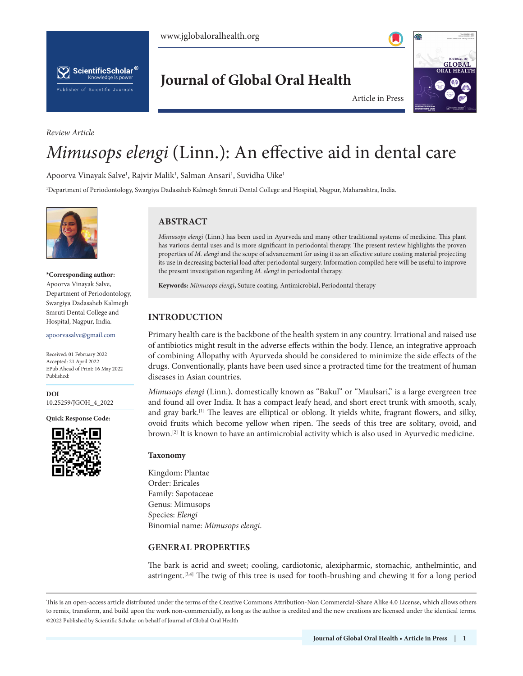



### *Review Article*

**Journal of Global Oral Health**



Article in Press

# *Mimusops elengi* (Linn.): An effective aid in dental care

Apoorva Vinayak Salve<sup>1</sup>, Rajvir Malik<sup>1</sup>, Salman Ansari<sup>1</sup>, Suvidha Uike<sup>1</sup>

1 Department of Periodontology, Swargiya Dadasaheb Kalmegh Smruti Dental College and Hospital, Nagpur, Maharashtra, India.



**\*Corresponding author:** Apoorva Vinayak Salve, Department of Periodontology, Swargiya Dadasaheb Kalmegh Smruti Dental College and Hospital, Nagpur, India.

apoorvasalve@gmail.com

Received: 01 February 2022 Accepted: 21 April 2022 EPub Ahead of Print: 16 May 2022 Published:

**DOI** [10.25259/JGOH\\_4\\_2022](https://dx.doi.org/10.25259/JGOH_4_2022)

**Quick Response Code:**



# **ABSTRACT**

*Mimusops elengi* (Linn.) has been used in Ayurveda and many other traditional systems of medicine. This plant has various dental uses and is more significant in periodontal therapy. The present review highlights the proven properties of *M. elengi* and the scope of advancement for using it as an effective suture coating material projecting its use in decreasing bacterial load after periodontal surgery. Information compiled here will be useful to improve the present investigation regarding *M. elengi* in periodontal therapy.

**Keywords:** *Mimusops elengi***,** Suture coating, Antimicrobial, Periodontal therapy

# **INTRODUCTION**

Primary health care is the backbone of the health system in any country. Irrational and raised use of antibiotics might result in the adverse effects within the body. Hence, an integrative approach of combining Allopathy with Ayurveda should be considered to minimize the side effects of the drugs. Conventionally, plants have been used since a protracted time for the treatment of human diseases in Asian countries.

*Mimusops elengi* (Linn.), domestically known as "Bakul" or "Maulsari," is a large evergreen tree and found all over India. It has a compact leafy head, and short erect trunk with smooth, scaly, and gray bark.<sup>[1]</sup> The leaves are elliptical or oblong. It yields white, fragrant flowers, and silky, ovoid fruits which become yellow when ripen. The seeds of this tree are solitary, ovoid, and brown.[2] It is known to have an antimicrobial activity which is also used in Ayurvedic medicine.

### **Taxonomy**

Kingdom: Plantae Order: Ericales Family: Sapotaceae Genus: Mimusops Species: *Elengi* Binomial name: *Mimusops elengi*.

## **GENERAL PROPERTIES**

The bark is acrid and sweet; cooling, cardiotonic, alexipharmic, stomachic, anthelmintic, and astringent.[3,4] The twig of this tree is used for tooth-brushing and chewing it for a long period

This is an open-access article distributed under the terms of the Creative Commons Attribution-Non Commercial-Share Alike 4.0 License, which allows others to remix, transform, and build upon the work non-commercially, as long as the author is credited and the new creations are licensed under the identical terms. ©2022 Published by Scientific Scholar on behalf of Journal of Global Oral Health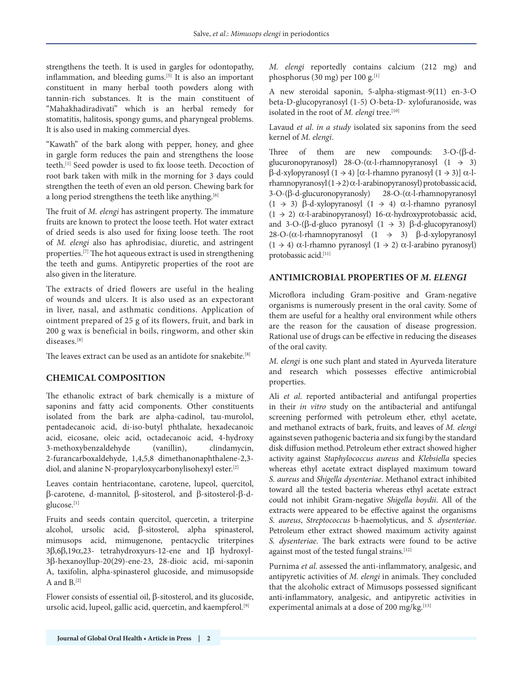strengthens the teeth. It is used in gargles for odontopathy, inflammation, and bleeding gums.<sup>[5]</sup> It is also an important constituent in many herbal tooth powders along with tannin-rich substances. It is the main constituent of "Mahakhadiradivati" which is an herbal remedy for stomatitis, halitosis, spongy gums, and pharyngeal problems. It is also used in making commercial dyes.

"Kawath" of the bark along with pepper, honey, and ghee in gargle form reduces the pain and strengthens the loose teeth.<sup>[1]</sup> Seed powder is used to fix loose teeth. Decoction of root bark taken with milk in the morning for 3 days could strengthen the teeth of even an old person. Chewing bark for a long period strengthens the teeth like anything.<sup>[6]</sup>

The fruit of *M. elengi* has astringent property. The immature fruits are known to protect the loose teeth. Hot water extract of dried seeds is also used for fixing loose teeth. The root of *M. elengi* also has aphrodisiac, diuretic, and astringent properties.[7] The hot aqueous extract is used in strengthening the teeth and gums. Antipyretic properties of the root are also given in the literature.

The extracts of dried flowers are useful in the healing of wounds and ulcers. It is also used as an expectorant in liver, nasal, and asthmatic conditions. Application of ointment prepared of 25 g of its flowers, fruit, and bark in 200 g wax is beneficial in boils, ringworm, and other skin diseases<sup>[8]</sup>

The leaves extract can be used as an antidote for snakebite.[8]

# **CHEMICAL COMPOSITION**

The ethanolic extract of bark chemically is a mixture of saponins and fatty acid components. Other constituents isolated from the bark are alpha-cadinol, tau-murolol, pentadecanoic acid, di-iso-butyl phthalate, hexadecanoic acid, eicosane, oleic acid, octadecanoic acid, 4-hydroxy 3-methoxybenzaldehyde (vanillin), clindamycin, 2-furancarboxaldehyde, 1,4,5,8 dimethanonaphthalene-2,3 diol, and alanine N-proparyloxycarbonylisohexyl ester.[2]

Leaves contain hentriacontane, carotene, lupeol, quercitol, β-carotene, d-mannitol, β-sitosterol, and β-sitosterol-β-dglucose.[1]

Fruits and seeds contain quercitol, quercetin, a triterpine alcohol, ursolic acid, β-sitosterol, alpha spinasterol, mimusops acid, mimugenone, pentacyclic triterpines 3β,6β,19α,23- tetrahydroxyurs-12-ene and 1β hydroxyl-3β-hexanoyllup-20(29)-ene-23, 28-dioic acid, mi-saponin A, taxifolin, alpha-spinasterol glucoside, and mimusopside A and  $B^{[2]}$ 

Flower consists of essential oil, β-sitosterol, and its glucoside, ursolic acid, lupeol, gallic acid, quercetin, and kaempferol.<sup>[9]</sup>

*M. elengi* reportedly contains calcium (212 mg) and phosphorus (30 mg) per 100 g. $^{[1]}$ 

A new steroidal saponin, 5-alpha-stigmast-9(11) en-3-O beta-D-glucopyranosyl (1-5) O-beta-D- xylofuranoside, was isolated in the root of *M. elengi* tree.<sup>[10]</sup>

Lavaud *et al*. *in a study* isolated six saponins from the seed kernel of *M. elengi*.

Three of them are new compounds: 3-O-(β-dglucuronopyranosyl) 28-O-( $\alpha$ -l-rhamnopyranosyl (1  $\rightarrow$  3) β-d-xylopyranosyl (1 → 4) [α-l-rhamno pyranosyl (1 → 3)] α-lrhamnopyranosyl $(1 \rightarrow 2)$   $\alpha$ -l-arabinopyranosyl) protobassic acid, 3-O-(β-d-glucuronopyranosly) 28-O-(α-l-rhamnopyranosyl (1 → 3) β-d-xylopyranosyl (1 → 4) α-l-rhamno pyranosyl (1 → 2) α-l-arabinopyranosyl) 16-α-hydroxyprotobassic acid, and 3-O-(β-d-gluco pyranosyl  $(1 \rightarrow 3)$  β-d-glucopyranosyl) 28-O-(α-l-rhamnopyranosyl (1 → 3) β-d-xylopyranosyl (1 → 4) α-l-rhamno pyranosyl (1 → 2) α-l-arabino pyranosyl) protobassic acid.[11]

## **ANTIMICROBIAL PROPERTIES OF** *M. ELENGI*

Microflora including Gram-positive and Gram-negative organisms is numerously present in the oral cavity. Some of them are useful for a healthy oral environment while others are the reason for the causation of disease progression. Rational use of drugs can be effective in reducing the diseases of the oral cavity.

*M. elengi* is one such plant and stated in Ayurveda literature and research which possesses effective antimicrobial properties.

Ali *et al*. reported antibacterial and antifungal properties in their *in vitro* study on the antibacterial and antifungal screening performed with petroleum ether, ethyl acetate, and methanol extracts of bark, fruits, and leaves of *M. elengi* againstseven pathogenic bacteria and six fungi by the standard disk diffusion method.Petroleum ether extract showed higher activity against *Staphylococcus aureus* and *Klebsiella* species whereas ethyl acetate extract displayed maximum toward *S. aureus* and *Shigella dysenteriae*. Methanol extract inhibited toward all the tested bacteria whereas ethyl acetate extract could not inhibit Gram-negative *Shigella boydii*. All of the extracts were appeared to be effective against the organisms *S. aureus*, *Streptococcus* b-haemolyticus, and *S. dysenteriae*. Petroleum ether extract showed maximum activity against *S. dysenteriae*. The bark extracts were found to be active against most of the tested fungal strains.<sup>[12]</sup>

Purnima *et al*. assessed the anti-inflammatory, analgesic, and antipyretic activities of *M. elengi* in animals. They concluded that the alcoholic extract of Mimusops possessed significant anti-inflammatory, analgesic, and antipyretic activities in experimental animals at a dose of 200 mg/kg.<sup>[13]</sup>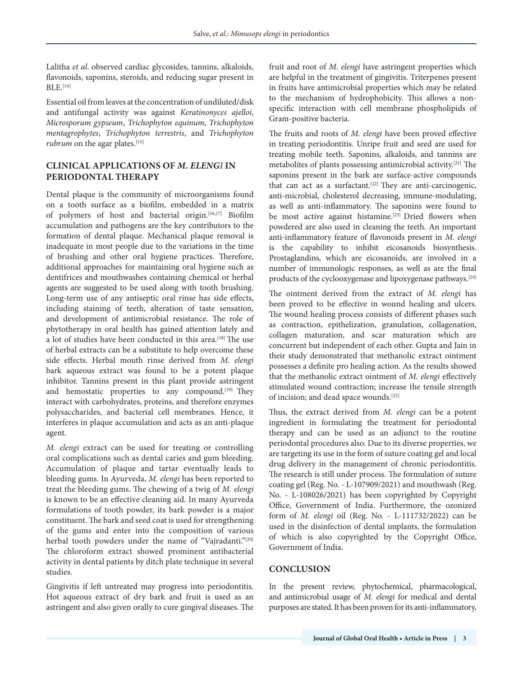Lalitha *et al*. observed cardiac glycosides, tannins, alkaloids, flavonoids, saponins, steroids, and reducing sugar present in  $BLE.$ <sup>[14]</sup>

Essential oil from leaves at the concentration of undiluted/disk and antifungal activity was against *Keratinonyces ajelloi*, *Microsporum gypseum*, *Trichophyton equinum*, *Trichophyton mentagrophytes*, *Trichophyton terrestris*, and *Trichophyton rubrum* on the agar plates.<sup>[15]</sup>

## **CLINICAL APPLICATIONS OF** *M. ELENGI* **IN PERIODONTAL THERAPY**

Dental plaque is the community of microorganisms found on a tooth surface as a biofilm, embedded in a matrix of polymers of host and bacterial origin.[16,17] Biofilm accumulation and pathogens are the key contributors to the formation of dental plaque. Mechanical plaque removal is inadequate in most people due to the variations in the time of brushing and other oral hygiene practices. Therefore, additional approaches for maintaining oral hygiene such as dentifrices and mouthwashes containing chemical or herbal agents are suggested to be used along with tooth brushing. Long-term use of any antiseptic oral rinse has side effects, including staining of teeth, alteration of taste sensation, and development of antimicrobial resistance. The role of phytotherapy in oral health has gained attention lately and a lot of studies have been conducted in this area.<sup>[18]</sup> The use of herbal extracts can be a substitute to help overcome these side effects. Herbal mouth rinse derived from *M. elengi* bark aqueous extract was found to be a potent plaque inhibitor. Tannins present in this plant provide astringent and hemostatic properties to any compound.<sup>[19]</sup> They interact with carbohydrates, proteins, and therefore enzymes polysaccharides, and bacterial cell membranes. Hence, it interferes in plaque accumulation and acts as an anti-plaque agent.

*M. elengi* extract can be used for treating or controlling oral complications such as dental caries and gum bleeding. Accumulation of plaque and tartar eventually leads to bleeding gums. In Ayurveda, *M. elengi* has been reported to treat the bleeding gums. The chewing of a twig of *M. elengi* is known to be an effective cleaning aid. In many Ayurveda formulations of tooth powder, its bark powder is a major constituent. The bark and seed coat is used for strengthening of the gums and enter into the composition of various herbal tooth powders under the name of "Vajradanti."<sup>[20]</sup> The chloroform extract showed prominent antibacterial activity in dental patients by ditch plate technique in several studies.

Gingivitis if left untreated may progress into periodontitis. Hot aqueous extract of dry bark and fruit is used as an astringent and also given orally to cure gingival diseases. The fruit and root of *M. elengi* have astringent properties which are helpful in the treatment of gingivitis. Triterpenes present in fruits have antimicrobial properties which may be related to the mechanism of hydrophobicity. This allows a nonspecific interaction with cell membrane phospholipids of Gram-positive bacteria.

The fruits and roots of *M. elengi* have been proved effective in treating periodontitis. Unripe fruit and seed are used for treating mobile teeth. Saponins, alkaloids, and tannins are metabolites of plants possessing antimicrobial activity.[21] The saponins present in the bark are surface-active compounds that can act as a surfactant.<sup>[22]</sup> They are anti-carcinogenic, anti-microbial, cholesterol decreasing, immune-modulating, as well as anti-inflammatory. The saponins were found to be most active against histamine.<sup>[23]</sup> Dried flowers when powdered are also used in cleaning the teeth. An important anti-inflammatory feature of flavonoids present in *M. elengi* is the capability to inhibit eicosanoids biosynthesis. Prostaglandins, which are eicosanoids, are involved in a number of immunologic responses, as well as are the final products of the cyclooxygenase and lipoxygenase pathways.[24]

The ointment derived from the extract of *M. elengi* has been proved to be effective in wound healing and ulcers. The wound healing process consists of different phases such as contraction, epithelization, granulation, collagenation, collagen maturation, and scar maturation which are concurrent but independent of each other. Gupta and Jain in their study demonstrated that methanolic extract ointment possesses a definite pro healing action. As the results showed that the methanolic extract ointment of *M. elengi* effectively stimulated wound contraction; increase the tensile strength of incision; and dead space wounds.[25]

Thus, the extract derived from *M. elengi* can be a potent ingredient in formulating the treatment for periodontal therapy and can be used as an adjunct to the routine periodontal procedures also. Due to its diverse properties, we are targeting its use in the form of suture coating gel and local drug delivery in the management of chronic periodontitis. The research is still under process. The formulation of suture coating gel (Reg. No. - L-107909/2021) and mouthwash (Reg. No. - L-108026/2021) has been copyrighted by Copyright Office, Government of India. Furthermore, the ozonized form of *M. elengi* oil (Reg. No. - L-111732/2022) can be used in the disinfection of dental implants, the formulation of which is also copyrighted by the Copyright Office, Government of India.

### **CONCLUSION**

In the present review, phytochemical, pharmacological, and antimicrobial usage of *M. elengi* for medical and dental purposes are stated. It has been proven for its anti-inflammatory,